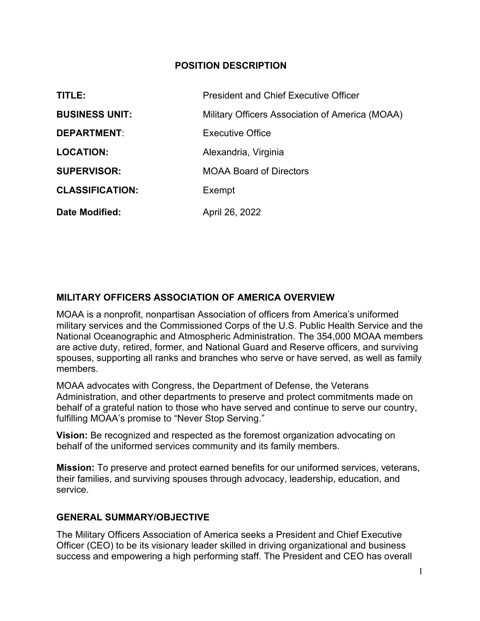### POSITION DESCRIPTION

| TITLE:                 | <b>President and Chief Executive Officer</b>    |
|------------------------|-------------------------------------------------|
| <b>BUSINESS UNIT:</b>  | Military Officers Association of America (MOAA) |
| <b>DEPARTMENT:</b>     | <b>Executive Office</b>                         |
| <b>LOCATION:</b>       | Alexandria, Virginia                            |
| <b>SUPERVISOR:</b>     | <b>MOAA Board of Directors</b>                  |
| <b>CLASSIFICATION:</b> | Exempt                                          |
| Date Modified:         | April 26, 2022                                  |

# MILITARY OFFICERS ASSOCIATION OF AMERICA OVERVIEW

MOAA is a nonprofit, nonpartisan Association of officers from America's uniformed military services and the Commissioned Corps of the U.S. Public Health Service and the National Oceanographic and Atmospheric Administration. The 354,000 MOAA members are active duty, retired, former, and National Guard and Reserve officers, and surviving spouses, supporting all ranks and branches who serve or have served, as well as family members.

MOAA advocates with Congress, the Department of Defense, the Veterans Administration, and other departments to preserve and protect commitments made on behalf of a grateful nation to those who have served and continue to serve our country, fulfilling MOAA's promise to "Never Stop Serving."

Vision: Be recognized and respected as the foremost organization advocating on behalf of the uniformed services community and its family members.

Mission: To preserve and protect earned benefits for our uniformed services, veterans, their families, and surviving spouses through advocacy, leadership, education, and service.

# GENERAL SUMMARY/OBJECTIVE

The Military Officers Association of America seeks a President and Chief Executive Officer (CEO) to be its visionary leader skilled in driving organizational and business success and empowering a high performing staff. The President and CEO has overall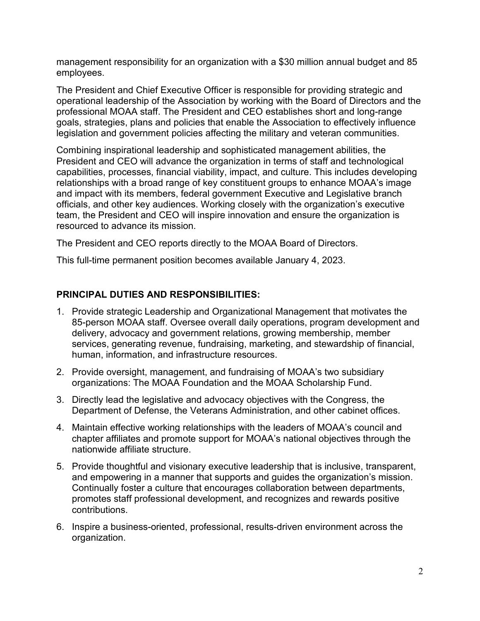management responsibility for an organization with a \$30 million annual budget and 85 employees.

The President and Chief Executive Officer is responsible for providing strategic and operational leadership of the Association by working with the Board of Directors and the professional MOAA staff. The President and CEO establishes short and long-range goals, strategies, plans and policies that enable the Association to effectively influence legislation and government policies affecting the military and veteran communities.

Combining inspirational leadership and sophisticated management abilities, the President and CEO will advance the organization in terms of staff and technological capabilities, processes, financial viability, impact, and culture. This includes developing relationships with a broad range of key constituent groups to enhance MOAA's image and impact with its members, federal government Executive and Legislative branch officials, and other key audiences. Working closely with the organization's executive team, the President and CEO will inspire innovation and ensure the organization is resourced to advance its mission.

The President and CEO reports directly to the MOAA Board of Directors.

This full-time permanent position becomes available January 4, 2023.

## PRINCIPAL DUTIES AND RESPONSIBILITIES:

- 1. Provide strategic Leadership and Organizational Management that motivates the 85-person MOAA staff. Oversee overall daily operations, program development and delivery, advocacy and government relations, growing membership, member services, generating revenue, fundraising, marketing, and stewardship of financial, human, information, and infrastructure resources.
- 2. Provide oversight, management, and fundraising of MOAA's two subsidiary organizations: The MOAA Foundation and the MOAA Scholarship Fund.
- 3. Directly lead the legislative and advocacy objectives with the Congress, the Department of Defense, the Veterans Administration, and other cabinet offices.
- 4. Maintain effective working relationships with the leaders of MOAA's council and chapter affiliates and promote support for MOAA's national objectives through the nationwide affiliate structure.
- 5. Provide thoughtful and visionary executive leadership that is inclusive, transparent, and empowering in a manner that supports and guides the organization's mission. Continually foster a culture that encourages collaboration between departments, promotes staff professional development, and recognizes and rewards positive contributions.
- 6. Inspire a business-oriented, professional, results-driven environment across the organization.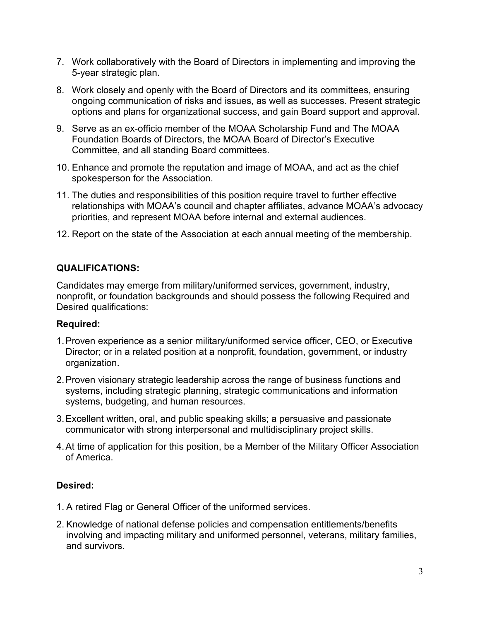- 7. Work collaboratively with the Board of Directors in implementing and improving the 5-year strategic plan.
- 8. Work closely and openly with the Board of Directors and its committees, ensuring ongoing communication of risks and issues, as well as successes. Present strategic options and plans for organizational success, and gain Board support and approval.
- 9. Serve as an ex-officio member of the MOAA Scholarship Fund and The MOAA Foundation Boards of Directors, the MOAA Board of Director's Executive Committee, and all standing Board committees.
- 10. Enhance and promote the reputation and image of MOAA, and act as the chief spokesperson for the Association.
- 11. The duties and responsibilities of this position require travel to further effective relationships with MOAA's council and chapter affiliates, advance MOAA's advocacy priorities, and represent MOAA before internal and external audiences.
- 12. Report on the state of the Association at each annual meeting of the membership.

### QUALIFICATIONS:

Candidates may emerge from military/uniformed services, government, industry, nonprofit, or foundation backgrounds and should possess the following Required and Desired qualifications:

#### Required:

- 1.Proven experience as a senior military/uniformed service officer, CEO, or Executive Director; or in a related position at a nonprofit, foundation, government, or industry organization.
- 2.Proven visionary strategic leadership across the range of business functions and systems, including strategic planning, strategic communications and information systems, budgeting, and human resources.
- 3.Excellent written, oral, and public speaking skills; a persuasive and passionate communicator with strong interpersonal and multidisciplinary project skills.
- 4.At time of application for this position, be a Member of the Military Officer Association of America.

### Desired:

- 1. A retired Flag or General Officer of the uniformed services.
- 2. Knowledge of national defense policies and compensation entitlements/benefits involving and impacting military and uniformed personnel, veterans, military families, and survivors.